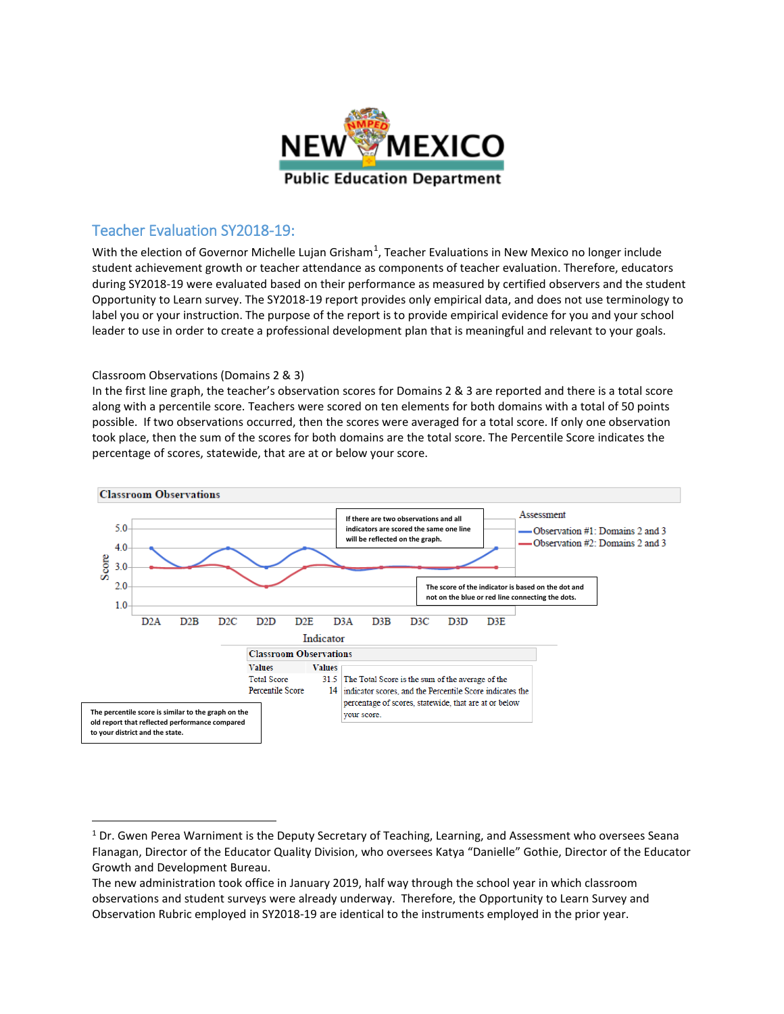

## Teacher Evaluation SY2018-19:

With the election of Governor Michelle Lujan Grisham<sup>[1](#page-0-0)</sup>, Teacher Evaluations in New Mexico no longer include student achievement growth or teacher attendance as components of teacher evaluation. Therefore, educators during SY2018-19 were evaluated based on their performance as measured by certified observers and the student Opportunity to Learn survey. The SY2018-19 report provides only empirical data, and does not use terminology to label you or your instruction. The purpose of the report is to provide empirical evidence for you and your school leader to use in order to create a professional development plan that is meaningful and relevant to your goals.

## Classroom Observations (Domains 2 & 3)

In the first line graph, the teacher's observation scores for Domains 2 & 3 are reported and there is a total score along with a percentile score. Teachers were scored on ten elements for both domains with a total of 50 points possible. If two observations occurred, then the scores were averaged for a total score. If only one observation took place, then the sum of the scores for both domains are the total score. The Percentile Score indicates the percentage of scores, statewide, that are at or below your score.



<span id="page-0-0"></span><sup>&</sup>lt;sup>1</sup> Dr. Gwen Perea Warniment is the Deputy Secretary of Teaching, Learning, and Assessment who oversees Seana Flanagan, Director of the Educator Quality Division, who oversees Katya "Danielle" Gothie, Director of the Educator Growth and Development Bureau.

The new administration took office in January 2019, half way through the school year in which classroom observations and student surveys were already underway. Therefore, the Opportunity to Learn Survey and Observation Rubric employed in SY2018-19 are identical to the instruments employed in the prior year.